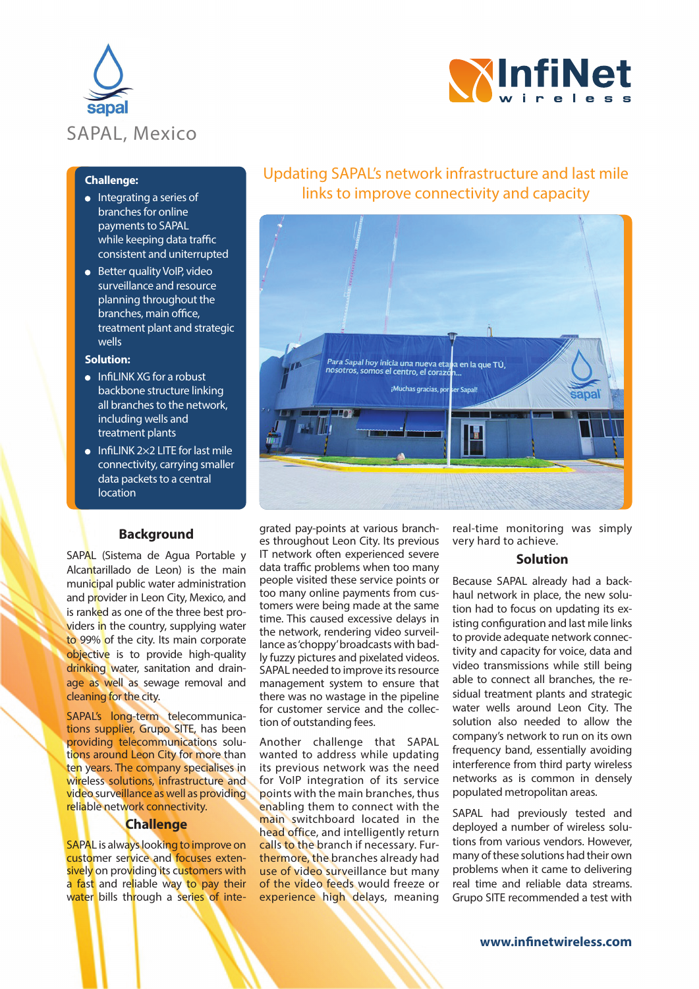



## **Challenge:**

- $\bullet$  Integrating a series of branches for online payments to SAPAL while keeping data traffic consistent and uniterrupted
- **•** Better quality VoIP, video surveillance and resource planning throughout the branches, main office, treatment plant and strategic wells

#### **Solution:**

- $\bullet$  Infil INK XG for a robust backbone structure linking all branches to the network, including wells and treatment plants
- $\bullet$  InfiLINK 2×2 LITE for last mile connectivity, carrying smaller data packets to a central **location**

#### **Background**

SAPAL (Sistema de Agua Portable y Alcantarillado de Leon) is the main municipal public water administration and provider in Leon City, Mexico, and is ranked as one of the three best providers in the country, supplying water to 99% of the city. Its main corporate objective is to provide high-quality drinking water, sanitation and drainage as well as sewage removal and cleaning for the city.

SAPAL's long-term telecommunications supplier, Grupo SITE, has been providing telecommunications solutions around Leon City for more than ten years. The company specialises in wireless solutions, infrastructure and video surveillance as well as providing reliable network connectivity.

### **Challenge**

SAPAL is always looking to improve on customer service and focuses extensively on providing its customers with a fast and reliable way to pay their water bills through a series of inte-

# Updating SAPAL's network infrastructure and last mile links to improve connectivity and capacity



grated pay-points at various branches throughout Leon City. Its previous IT network often experienced severe data traffic problems when too many people visited these service points or too many online payments from customers were being made at the same time. This caused excessive delays in the network, rendering video surveillance as 'choppy' broadcasts with badly fuzzy pictures and pixelated videos. SAPAL needed to improve its resource management system to ensure that there was no wastage in the pipeline for customer service and the collection of outstanding fees.

Another challenge that SAPAL wanted to address while updating its previous network was the need for VoIP integration of its service points with the main branches, thus enabling them to connect with the main switchboard located in the head office, and intelligently return calls to the branch if necessary. Furthermore, the branches already had use of video surveillance but many of the video feeds would freeze or experience high delays, meaning

real-time monitoring was simply very hard to achieve.

## **Solution**

Because SAPAL already had a backhaul network in place, the new solution had to focus on updating its existing configuration and last mile links to provide adequate network connectivity and capacity for voice, data and video transmissions while still being able to connect all branches, the residual treatment plants and strategic water wells around Leon City. The solution also needed to allow the company's network to run on its own frequency band, essentially avoiding interference from third party wireless networks as is common in densely populated metropolitan areas.

SAPAL had previously tested and deployed a number of wireless solutions from various vendors. However, many of these solutions had their own problems when it came to delivering real time and reliable data streams. Grupo SITE recommended a test with